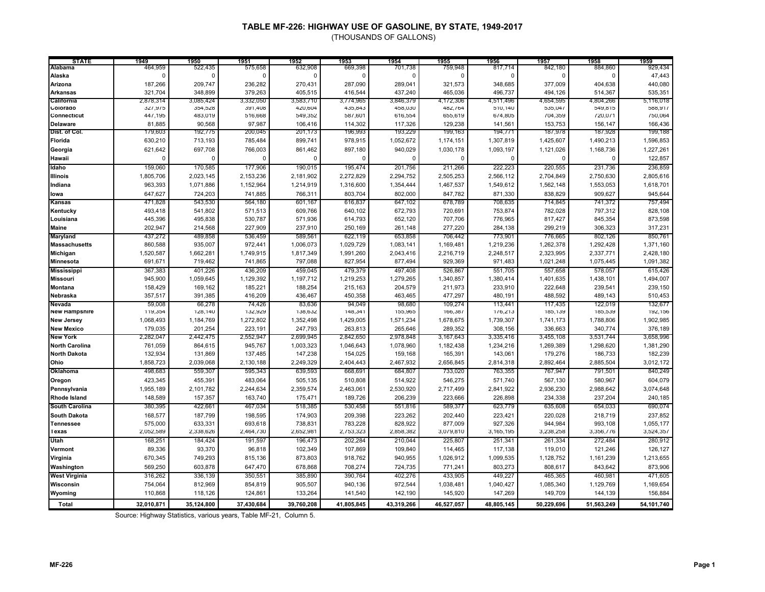(THOUSANDS OF GALLONS)

| <b>STATE</b>          | 1949       | 1950       | 1951         | 1952       | 1953           | 1954       | 1955       | 1956       | 1957        | 1958        | 1959       |
|-----------------------|------------|------------|--------------|------------|----------------|------------|------------|------------|-------------|-------------|------------|
| Alabama               | 464,959    | 522,435    | 575,658      | 632,908    | 669,398        | 701,738    | 759,948    | 817,714    | 842,180     | 884,860     | 929,434    |
| Alaska                | $\Omega$   | $\Omega$   | $\mathsf{C}$ | $\Omega$   | $\Omega$       | $\Omega$   | $\Omega$   | $\Omega$   | $\mathbf 0$ | $\mathbf 0$ | 47,443     |
| Arizona               | 187,266    | 209,747    | 236,282      | 270,431    | 287,090        | 289,041    | 321,573    | 348,685    | 377,009     | 404,638     | 440,080    |
| <b>Arkansas</b>       | 321,704    | 348,899    | 379,263      | 405,515    | 416,544        | 437,240    | 465,036    | 496,737    | 494,126     | 514,367     | 535,351    |
| California            | 2,878,314  | 3,085,424  | 3,332,050    | 3,583,710  | 3,774,965      | 3,846,379  | 4,172,306  | 4,511,496  | 4,654,595   | 4,804,266   | 5,116,018  |
| Colorado              | 327,975    | 354,528    | 391,408      | 420,604    | 435,843        | 458,030    | 482,764    | 510,140    | 535,047     | 549,815     | 588,917    |
| Connecticut           | 447,195    | 483,019    | 516,668      | 549,352    | <b>587,601</b> | 616,554    | 655,619    | 674,805    | 104,359     | 720,071     | /50,064    |
| <b>Delaware</b>       | 81,885     | 90,568     | 97,987       | 106,416    | 114,302        | 117,326    | 129,238    | 141,561    | 153,753     | 156,147     | 166,436    |
| Dist. of Col.         | 179,603    | 192,775    | 200,045      | 201,173    | 196,993        | 193,229    | 199,163    | 194,771    | 187,978     | 187,928     | 199,188    |
| Florida               | 630,210    | 713,193    | 785,484      | 899,741    | 978,915        | 1,052,672  | 1,174,151  | 1,307,819  | 1,425,607   | 1,490,213   | 1,596,853  |
| Georgia               | 621,642    | 697,708    | 766,003      | 861,462    | 897,180        | 940,029    | 1,030,178  | 1,093,197  | 1,121,026   | 1,168,736   | 1,227,261  |
| Hawaii                | $\Omega$   | $\Omega$   | $\mathsf{C}$ | $\Omega$   | $\Omega$       | $\Omega$   | $\Omega$   | $\Omega$   | $\Omega$    | $\Omega$    | 122,857    |
| Idaho                 | 159,060    | 170,585    | 177,906      | 190,015    | 195,474        | 201,756    | 211,266    | 222,223    | 220,555     | 231,736     | 236,859    |
| <b>Illinois</b>       | 1,805,706  | 2,023,145  | 2,153,236    | 2,181,902  | 2,272,829      | 2,294,752  | 2,505,253  | 2,566,112  | 2,704,849   | 2,750,630   | 2,805,616  |
| Indiana               | 963,393    | 1,071,886  | 1,152,964    | 1,214,919  | 1,316,600      | 1,354,444  | 1,467,537  | 1,549,612  | 1,562,148   | 1,553,053   | 1,618,701  |
|                       | 647,627    | 724,203    | 741,885      | 766,311    | 803,704        | 802,000    | 847,782    | 871,330    | 838,829     | 909,627     | 945,644    |
| lowa                  |            |            |              |            |                |            |            |            |             |             |            |
| <b>Kansas</b>         | 471,828    | 543,530    | 564,180      | 601,167    | 616,837        | 647,102    | 678,789    | 708,635    | 714,845     | 741,372     | 757,494    |
| Kentucky              | 493,418    | 541,802    | 571,513      | 609,766    | 640,102        | 672,793    | 720,691    | 753,874    | 782,028     | 797,312     | 828,108    |
| Louisiana             | 445,396    | 495,838    | 530,787      | 571,936    | 614,793        | 652,120    | 707,706    | 776,965    | 817,427     | 845,354     | 873,598    |
| <b>Maine</b>          | 202,947    | 214,568    | 227,909      | 237,910    | 250,169        | 261,148    | 277,220    | 284,138    | 299,219     | 306,323     | 317,231    |
| <b>Maryland</b>       | 437,272    | 489,858    | 536,459      | 589,561    | 622,119        | 653,858    | 706,442    | 773,901    | 776,665     | 802,126     | 850,761    |
| <b>Massachusetts</b>  | 860,588    | 935,007    | 972,441      | 1,006,073  | 1,029,729      | 1,083,141  | 1,169,481  | 1,219,236  | 1,262,378   | 1,292,428   | 1,371,160  |
| Michigan              | 1,520,587  | 1,662,281  | 1,749,915    | 1,817,349  | 1,991,260      | 2,043,416  | 2,216,719  | 2,248,517  | 2,323,995   | 2,337,771   | 2,428,180  |
| Minnesota             | 691,671    | 719,462    | 741,865      | 797,088    | 827,954        | 877,494    | 929,369    | 971,483    | 1,021,248   | 1,075,445   | 1,091,382  |
| <b>Mississippi</b>    | 367,383    | 401,226    | 436,209      | 459,045    | 479,379        | 497,408    | 526,867    | 551,705    | 557,658     | 578,057     | 615,426    |
| <b>Missouri</b>       | 945,900    | 1,059,645  | 1,129,392    | 1,197,712  | 1,219,253      | 1,279,265  | 1,340,857  | 1,380,414  | 1,401,635   | 1,438,101   | 1,494,007  |
| <b>Montana</b>        | 158,429    | 169,162    | 185,221      | 188,254    | 215,163        | 204,579    | 211,973    | 233,910    | 222,648     | 239,541     | 239,150    |
| Nebraska              | 357,517    | 391,385    | 416,209      | 436,467    | 450,358        | 463,465    | 477,297    | 480,191    | 488,592     | 489,143     | 510,453    |
| Nevada                | 59,008     | 66,278     | 74,426       | 83,636     | 94,049         | 98,680     | 109,274    | 113,441    | 117,435     | 122,019     | 132,677    |
| <b>New Hampshire</b>  | 119,354    | 128,140    | 132,929      | 138,632    | 148,341        | 155,965    | 166,387    | 176,213    | 185,139     | 185,539     | 192,156    |
| <b>New Jersey</b>     | 1,068,493  | 1,184,769  | 1,272,802    | 1,352,498  | 1,429,005      | 1,571,234  | 1,678,675  | 1,739,307  | 1,741,173   | 1,788,806   | 1,902,985  |
| <b>New Mexico</b>     | 179,035    | 201,254    | 223,191      | 247,793    | 263,813        | 265,646    | 289,352    | 308,156    | 336,663     | 340,774     | 376,189    |
| <b>New York</b>       | 2,282,047  | 2,442,475  | 2,552,947    | 2,699,945  | 2,842,650      | 2,978,848  | 3,167,643  | 3,335,416  | 3,455,108   | 3,531,744   | 3,658,996  |
| <b>North Carolina</b> | 761,059    | 864,615    | 945,767      | 1,003,323  | 1,046,643      | 1,078,960  | 1,182,438  | 1,234,216  | 1,269,389   | 1,298,620   | 1,381,290  |
| <b>North Dakota</b>   | 132,934    | 131,869    | 137,485      | 147,238    | 154,025        | 159,168    | 165,391    | 143,061    | 179,276     | 186,733     | 182,239    |
| Ohio                  | 1,858,723  | 2,039,068  | 2,130,188    | 2,249,329  | 2,404,443      | 2,467,932  | 2,656,845  | 2,814,318  | 2,892,464   | 2,885,504   | 3,012,172  |
| Oklahoma              | 498,683    | 559,307    | 595,343      | 639,593    | 668,691        | 684,807    | 733,020    | 763,355    | 767,947     | 791,501     | 840,249    |
| Oregon                | 423,345    | 455,391    | 483,064      | 505,135    | 510,808        | 514,922    | 546,275    | 571,740    | 567,130     | 580,967     | 604,079    |
| Pennsylvania          | 1,955,189  | 2,101,782  | 2,244,634    | 2,359,574  | 2,463,061      | 2,530,920  | 2,717,499  | 2,841,922  | 2,936,230   | 2,988,642   | 3,074,648  |
| <b>Rhode Island</b>   | 148,589    | 157,357    | 163,740      | 175,471    | 189,726        | 206,239    | 223,666    | 226,898    | 234,338     | 237,204     | 240,185    |
| South Carolina        | 380,395    | 422,661    | 467,034      | 518,385    | 530,458        | 551,816    | 589,377    | 623,779    | 635,608     | 654,033     | 690,074    |
| <b>South Dakota</b>   | 168,577    | 187,799    | 198,595      | 174,903    | 209,398        | 223,262    | 202,440    | 223,421    | 220,028     | 218,719     | 237,852    |
| <b>Tennessee</b>      | 575,000    | 633,331    | 693,618      | 738,831    | 783,228        | 828,922    | 877,009    | 927,326    | 944,984     | 993,108     | 1,055,177  |
| <b>Texas</b>          | 2,052,589  | 2,338,626  | 2,464,730    | 2,652,981  | 2,753,323      | 2,858,382  | 3,079,810  | 3,165,195  | 3,238,258   | 3,356,776   | 3,524,357  |
| Utah                  |            |            |              |            |                |            |            |            |             |             |            |
|                       | 168,251    | 184,424    | 191,597      | 196,473    | 202,284        | 210,044    | 225,807    | 251,341    | 261,334     | 272,484     | 280,912    |
| Vermont               | 89,336     | 93,370     | 96,818       | 102,349    | 107,869        | 109,840    | 114,465    | 117,138    | 119,010     | 121,246     | 126,127    |
| Virginia              | 670,345    | 749,293    | 815,136      | 873,803    | 918,762        | 940,955    | 1,026,912  | 1,099,535  | 1,128,752   | 1,161,239   | 1,213,655  |
| Washington            | 569,250    | 603,878    | 647,470      | 678,868    | 708,274        | 724,735    | 771,241    | 803,273    | 808,617     | 843,642     | 873,906    |
| <b>West Virginia</b>  | 316,262    | 336,139    | 350,551      | 385,890    | 390,764        | 402,276    | 433,905    | 449,227    | 465,365     | 460,981     | 471,605    |
| Wisconsin             | 754,064    | 812,969    | 854,819      | 905,507    | 940,136        | 972,544    | 1,038,481  | 1,040,427  | 1,085,340   | 1,129,769   | 1,169,654  |
| Wyoming               | 110,868    | 118,126    | 124,861      | 133,264    | 141,540        | 142,190    | 145,920    | 147,269    | 149,709     | 144,139     | 156,884    |
| Total                 | 32,010,871 | 35,124,800 | 37,430,684   | 39,760,208 | 41,805,845     | 43,319,266 | 46,527,057 | 48,805,145 | 50,229,696  | 51,563,249  | 54,101,740 |

Source: Highway Statistics, various years, Table MF-21, Column 5.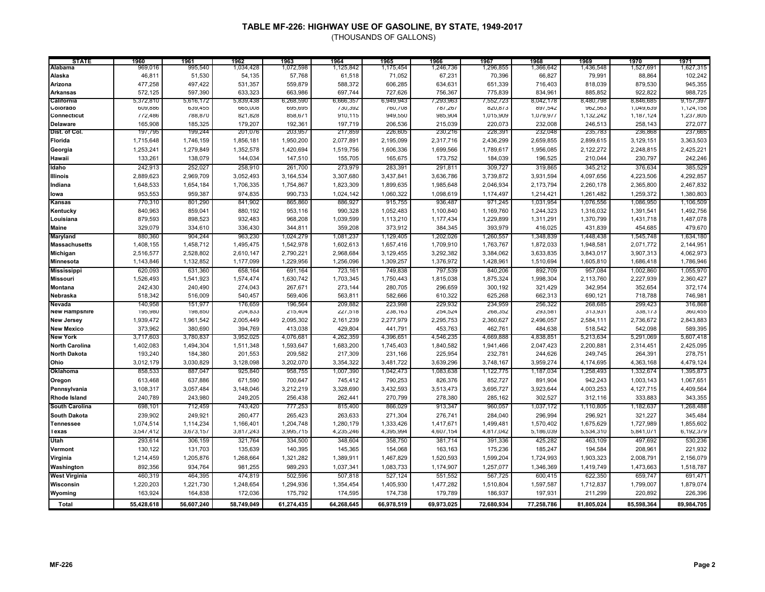| <b>STATE</b>          | 1960       | 1961       | 1962       | 1963       | 1964       | 1965       | 1966       | 1967       | 1968       | 1969       | 1970       | 1971       |
|-----------------------|------------|------------|------------|------------|------------|------------|------------|------------|------------|------------|------------|------------|
| Alabama               | 969,016    | 995,540    | 1,034,428  | 1,072,598  | 1,125,842  | 1,175,454  | 1,246,736  | 1,296,855  | 1,366,642  | 1,436,548  | 1,527,691  | 1,627,315  |
| Alaska                | 46,811     | 51,530     | 54,135     | 57,768     | 61,518     | 71,052     | 67,231     | 70,396     | 66,827     | 79,991     | 88,864     | 102,242    |
| Arizona               | 477,258    | 497,422    | 531,357    | 559,879    | 588,372    | 606,285    | 634,631    | 651,339    | 716,403    | 818,039    | 879,530    | 945,355    |
| <b>Arkansas</b>       | 572,125    | 597,390    | 633,323    | 663,986    | 697,744    | 727,626    | 756,367    | 775,839    | 834,961    | 885,852    | 922,822    | 988,725    |
| California            | 5,372,810  | 5,616,172  | 5,839,438  | 6,268,590  | 6,666,357  | 6,949,943  | 7,293,963  | 7,552,723  | 8,042,178  | 8,480,798  | 8,846,685  | 9,157,397  |
| Colorado              | 609,886    | 639,455    | 665,008    | 695,695    | 730,392    | 760,708    | 181,261    | 820,873    | 897,542    | 962,563    | 1,049,639  | 1,124,158  |
| Connecticut           | 112,486    | 788,870    | 821,828    | 858,671    | 910,115    | 949,550    | 985,904    | 1,015,909  | 1,019,911  | 1,132,242  | 1,187,124  | 1,237,805  |
| <b>Delaware</b>       | 165,908    | 185,325    | 179,207    | 192,361    | 197,719    | 206,536    | 215,039    | 220,073    | 232,008    | 246,513    | 258,143    | 272,077    |
| Dist. of Col.         | 197,795    | 199,244    | 201,076    | 203,957    | 217,859    | 226,605    | 230,216    | 228,39     | 232,048    | 235,783    | 236,868    | 237,665    |
| Florida               | 1,715,648  | 1,746,159  | 1,856,181  | 1,950,200  | 2,077,891  | 2,195,099  | 2,317,716  | 2,436,299  | 2,659,855  | 2,899,615  | 3,129,151  | 3,363,503  |
| Georgia               | 1,253,241  | 1,279,849  | 1,352,578  | 1,420,694  | 1,519,756  | 1,606,336  | 1,699,566  | 1,789,617  | 1,956,085  | 2,122,272  | 2,248,815  | 2,425,221  |
| Hawaii                | 133,261    | 138,079    | 144,034    | 147,510    | 155,705    | 165,675    | 173,752    | 184,039    | 196,525    | 210,044    | 230,797    | 242,246    |
| Idaho                 | 242,913    | 252,027    | 258,910    | 261,700    | 273,979    | 283,391    | 291,811    | 309,727    | 319,865    | 345,212    | 376,634    | 385,529    |
| <b>Illinois</b>       | 2,889,623  | 2,969,709  | 3,052,493  | 3,164,534  | 3,307,680  | 3,437,841  | 3,636,786  | 3,739,872  | 3,931,594  | 4,097,656  | 4,223,506  | 4,292,857  |
| Indiana               | 1,648,533  | 1,654,184  | 1,706,335  | 1,754,867  | 1,823,309  | 1,899,635  | 1,985,648  | 2,046,934  | 2,173,794  | 2,260,178  | 2,365,800  | 2,467,832  |
| lowa                  | 953,553    | 959,387    | 974,835    | 990,733    | 1,024,142  | 1,060,322  | 1,098,619  | 1,174,497  | 1,214,421  | 1,261,482  | 1,259,372  | 1,380,803  |
| Kansas                | 770,310    | 801,290    | 841,902    | 865,860    | 886,927    | 915,755    | 936,487    | 971,245    | 1,031,954  | 1,076,556  | 1,086,950  | 1,106,509  |
|                       |            |            |            |            |            |            |            |            |            |            |            |            |
| Kentucky              | 840,963    | 859,041    | 880,192    | 953,116    | 990,328    | 1,052,483  | 1,100,840  | 1,169,760  | 1,244,323  | 1,316,032  | 1,391,541  | 1,492,756  |
| Louisiana             | 879,593    | 898,523    | 932,483    | 968,208    | 1,039,599  | 1,113,210  | 1,177,434  | 1,229,899  | 1,311,291  | 1,370,799  | 1,431,718  | 1,487,078  |
| <b>Maine</b>          | 329,079    | 334,610    | 336,430    | 344,811    | 359,208    | 373,912    | 384,345    | 393,979    | 416,025    | 431,839    | 454,685    | 479,670    |
| Maryland              | 880,360    | 904,244    | 963,230    | 1,024,279  | 1,081,237  | 1,129,405  | 1,202,026  | 1,260,557  | 1,348,839  | 1,448,438  | 1,545,748  | 1,634,180  |
| <b>Massachusetts</b>  | 1,408,155  | 1,458,712  | 1,495,475  | 1,542,978  | 1,602,613  | 1,657,416  | 1,709,910  | 1,763,767  | 1,872,033  | 1,948,581  | 2,071,772  | 2,144,951  |
| Michigan              | 2,516,577  | 2,528,802  | 2,610,147  | 2,790,221  | 2,968,684  | 3,129,455  | 3,292,382  | 3,384,062  | 3,633,835  | 3,843,017  | 3,907,313  | 4,062,973  |
| <b>Minnesota</b>      | 1,143,846  | 1,132,852  | 1,177,099  | 1,229,956  | 1,256,096  | 1,309,257  | 1,376,972  | 1,428,961  | 1,510,694  | 1,605,810  | 1,686,418  | 1,786,946  |
| <b>Mississippi</b>    | 620,093    | 631,360    | 658,164    | 691,164    | 723,161    | 749,838    | 797,539    | 840,206    | 892,709    | 957,084    | 1,002,860  | 1,055,970  |
| <b>Missouri</b>       | 1,526,493  | 1,541,923  | 1,574,474  | 1,630,742  | 1,703,345  | 1,750,443  | 1,815,038  | 1,875,324  | 1,998,304  | 2,113,760  | 2,227,939  | 2,360,427  |
| <b>Montana</b>        | 242,430    | 240,490    | 274,043    | 267,671    | 273,144    | 280,705    | 296,659    | 300,192    | 321,429    | 342,954    | 352,654    | 372,174    |
| Nebraska              | 518,342    | 516,009    | 540,457    | 569,406    | 563,811    | 582,666    | 610,322    | 625,268    | 662,313    | 690,121    | 718,788    | 746,981    |
| Nevada                | 140,958    | 151,977    | 176,659    | 196,564    | 209,882    | 223,998    | 229,932    | 234,959    | 256,322    | 268,685    | 299,423    | 316,868    |
| <b>New Hampshire</b>  | 195,980    | 198,850    | 204,833    | 215,404    | 227,518    | 238,163    | 254,524    | 268,352    | 293,581    | 313,931    | 338,173    | 360,455    |
| <b>New Jersey</b>     | 1,939,472  | 1,961,542  | 2,005,449  | 2,095,302  | 2,161,239  | 2,277,979  | 2,295,753  | 2,360,627  | 2,496,057  | 2,584,111  | 2,736,672  | 2,843,883  |
| <b>New Mexico</b>     | 373,962    | 380,690    | 394,769    | 413,038    | 429,804    | 441,791    | 453,763    | 462,761    | 484,638    | 518,542    | 542,098    | 589,395    |
| <b>New York</b>       | 3,717,603  | 3,780,837  | 3,952,025  | 4,076,681  | 4,262,359  | 4,396,651  | 4,546,235  | 4,669,888  | 4,838,851  | 5,213,634  | 5,291,069  | 5,607,418  |
| <b>North Carolina</b> | 1,402,083  | 1,494,304  | 1,511,348  | 1,593,647  | 1,683,200  | 1,745,403  | 1,840,582  | 1,941,466  | 2,047,423  | 2,200,881  | 2,314,451  | 2,425,095  |
| <b>North Dakota</b>   | 193,240    | 184,380    | 201,553    | 209,582    | 217,309    | 231,166    | 225,954    | 232,781    | 244,626    | 249,745    | 264,391    | 278,751    |
| Ohio                  | 3,012,179  | 3,030,829  | 3,128,098  | 3,202,070  | 3,354,322  | 3,481,722  | 3,639,296  | 3,748,167  | 3,959,274  | 4,174,695  | 4,363,168  | 4,479,124  |
| Oklahoma              | 858,533    | 887,047    | 925,840    | 958,755    | 1,007,390  | 1,042,473  | 1,083,638  | 1,122,775  | 1,187,034  | 1,258,493  | 1,332,674  | 1,395,873  |
| Oregon                | 613,468    | 637,886    | 671,590    | 700,647    | 745,412    | 790,253    | 826,376    | 852,727    | 891,904    | 942,243    | 1,003,143  | 1,067,651  |
| Pennsylvania          | 3,108,317  | 3,057,484  | 3,148,046  | 3,212,219  | 3,328,690  | 3,432,593  | 3,513,473  | 3,695,727  | 3,923,644  | 4,003,253  | 4,127,715  | 4,409,564  |
| <b>Rhode Island</b>   | 240,789    | 243,980    | 249,205    | 256,438    | 262,441    | 270,799    | 278,380    | 285,162    | 302,527    | 312,116    | 333,883    | 343,355    |
| <b>South Carolina</b> | 698,101    | 712,459    | 743,420    | 777,253    | 815,400    | 866,029    | 913,347    | 960,057    | 1,037,172  | 1,110,805  | 1,182,637  | 1,268,488  |
| <b>South Dakota</b>   | 239,902    | 249,921    | 260,477    | 265,423    | 263,633    | 271,304    | 276,741    | 284,040    | 296,994    | 296,921    | 321,227    | 345,484    |
| <b>Tennessee</b>      | 1,074,514  | 1,114,234  | 1,166,401  | 1,204,748  | 1,280,179  | 1,333,426  | 1,417,671  | 1,499,481  | 1,570,402  | 1,675,629  | 1,727,989  | 1,855,602  |
| Texas                 | 3,547,412  | 3,673,157  | 3,817,243  | 3,995,715  | 4,235,246  | 4,395,994  | 4,607,154  | 4,817,042  | 5,186,039  | 5,534,310  | 5,841,071  | 6,192,379  |
| Utah                  | 293,614    | 306,159    | 321,764    | 334,500    | 348,604    | 358,750    | 381,714    | 391,336    | 425,282    | 463,109    | 497,692    | 530,236    |
| Vermont               | 130,122    | 131,703    | 135,639    | 140,395    | 145,365    | 154,068    | 163,163    | 175,236    | 185,247    | 194,584    | 208,961    | 221,932    |
|                       | 1,214,459  | 1,205,876  | 1,268,664  | 1,321,282  | 1,389,911  | 1,467,829  | 1,520,593  | 1,599,204  | 1,724,993  | 1,903,323  | 2,008,791  | 2,156,079  |
| Virginia              | 892,356    | 934,764    | 981,255    | 989,293    | 1,037,341  | 1,083,733  | 1,174,907  |            |            |            | 1,473,663  | 1,518,787  |
| Washington            |            |            |            |            |            |            |            | 1,257,077  | 1,346,369  | 1,419,749  |            |            |
| <b>West Virginia</b>  | 460,319    | 464,395    | 474,819    | 502,596    | 507,818    | 527,124    | 551,552    | 567,725    | 600,415    | 622,350    | 659,747    | 691,471    |
| Wisconsin             | 1,220,203  | 1,221,730  | 1,248,654  | 1,294,936  | 1,354,454  | 1,405,930  | 1,477,282  | 1,510,804  | 1,597,587  | 1,712,837  | 1,799,007  | 1,879,074  |
| Wyoming               | 163,924    | 164,838    | 172,036    | 175,792    | 174,595    | 174,738    | 179,789    | 186,937    | 197,931    | 211,299    | 220,892    | 226,396    |
| Total                 | 55,428,618 | 56,607,240 | 58,749,049 | 61,274,435 | 64,268,645 | 66,978,519 | 69,973,025 | 72,680,934 | 77,258,786 | 81,805,024 | 85,598,364 | 89,984,705 |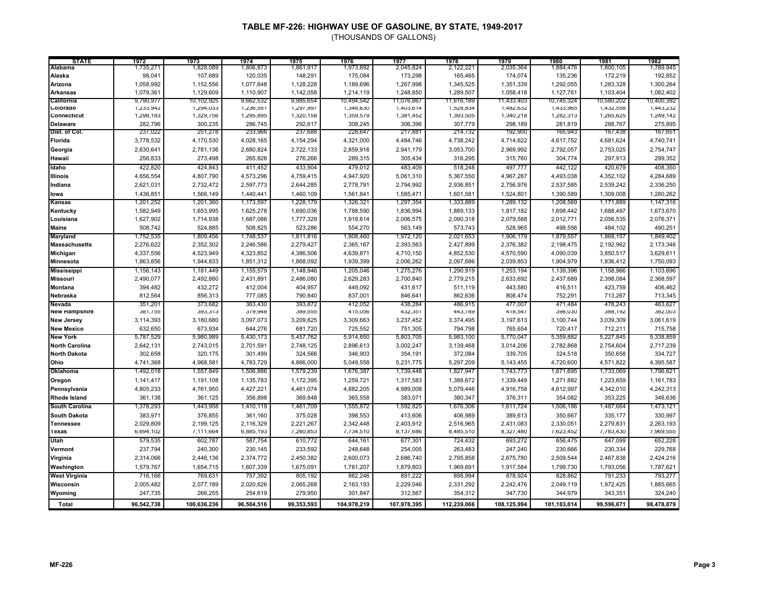| <b>STATE</b>          | 1972       | 1973        | 1974       | 1975       | 1976        | 1977        | 1978        | 1979        | 1980        | 1981       | 1982       |
|-----------------------|------------|-------------|------------|------------|-------------|-------------|-------------|-------------|-------------|------------|------------|
| <b>Alabama</b>        | 1,735,271  | 1,828,089   | 1,806,873  | 1,861,917  | 1,973,892   | 2,045,824   | 2,122,221   | 2,035,364   | 1,884,476   | 1,800,105  | 1,789,845  |
| Alaska                | 98,041     | 107,689     | 120,035    | 148,291    | 175,084     | 173,298     | 165,465     | 174,074     | 135,236     | 172,219    | 192,852    |
| Arizona               | 1,058,992  | 1,152,556   | 1,077,648  | 1,128,228  | 1,189,696   | 1,267,998   | 1,345,525   | 1,351,339   | 1,292,055   | 1,283,328  | 1,300,264  |
| <b>Arkansas</b>       | 1,079,361  | 1,129,609   | 1,110,907  | 1,142,058  | 1,214,119   | 1,248,850   | 1,289,507   | 1,058,418   | 1,127,761   | 1,103,404  | 1,082,402  |
| California            | 9,790,977  | 10,102,925  | 9,662,532  | 9,985,654  | 10,494,542  | 11,076,867  | 11,616,189  | 11,433,403  | 10,745,324  | 10,580,202 | 10,400,392 |
| Colorado              | 1,233,942  | 1,294,033   | 1,236,551  | 1,297,997  | 1,348,630   | 1,403,614   | 1,528,834   | 1,482,632   | 1,433,965   | 1,432,558  | 1,443,232  |
| Connecticut           | 1,298,183  | 1,329,756   | 1,295,895  | 1,320,158  | 1,359,579   | 1,381,452   | 1,393,505   | 1,340,218   | 1,282,313   | 1,265,625  | 1,249,142  |
| <b>Delaware</b>       | 282,796    | 300,235     | 286,745    | 292,617    | 308,245     | 306,396     | 307,779     | 298,189     | 281,819     | 288,767    | 275,895    |
| Dist. of Col.         | 237,022    | 251,278     | 233,966    | 237,688    | 228,647     | 217,881     | 214,732     | 192,900     | 165,943     | 167,438    | 167,651    |
| Florida               | 3,778,532  | 4,170,530   | 4,028,165  | 4,154,294  | 4,321,000   | 4,484,746   | 4,738,242   | 4,714,622   | 4,617,752   | 4,681,624  | 4,740,741  |
| Georgia               | 2,630,641  | 2,781,136   | 2,680,824  | 2,722,133  | 2,859,916   | 2,941,179   | 3,053,700   | 2,969,992   | 2,792,057   | 2,753,025  | 2,754,747  |
| Hawaii                | 256,833    | 273,498     | 265,826    | 276,266    | 289,315     | 305,434     | 316,295     | 315,760     | 304,774     | 297,913    | 299,352    |
| Idaho                 | 422,820    | 424,843     | 411,452    | 433,904    | 479,012     | 483,409     | 518,248     | 497,777     | 442,122     | 420,679    | 408,350    |
| <b>Illinois</b>       | 4,656,554  | 4,807,790   | 4,573,296  | 4,759,415  | 4,947,920   | 5,061,310   | 5,367,550   | 4,967,287   | 4,493,038   | 4,352,102  | 4,284,689  |
| Indiana               | 2,621,031  | 2,732,472   | 2,597,773  | 2,644,285  | 2,778,791   | 2,794,992   | 2,936,851   | 2,756,976   | 2,537,585   | 2,539,242  | 2,336,250  |
| lowa                  | 1,436,851  | 1,566,149   | 1,440,441  | 1,460,109  | 1,561,841   | 1,585,471   | 1,601,581   | 1,524,801   | 1,390,589   | 1,309,008  | 1,280,262  |
| <b>Kansas</b>         |            |             |            | 1,228,179  | 1,326,321   |             |             |             | 1,208,569   |            | 1,147,316  |
|                       | 1,201,252  | 1,201,360   | 1,173,597  |            |             | 1,297,354   | 1,333,889   | 1,289,132   |             | 1,171,889  |            |
| Kentucky              | 1,582,949  | 1,653,995   | 1,625,278  | 1,690,036  | 1,788,590   | 1,836,994   | 1,889,133   | 1,817,182   | 1,698,442   | 1,688,497  | 1,673,670  |
| Louisiana             | 1,627,902  | 1,714,938   | 1,687,086  | 1,777,329  | 1,918,614   | 2,006,575   | 2,090,318   | 2,079,588   | 2,012,771   | 2,056,535  | 2,076,371  |
| <b>Maine</b>          | 508,742    | 524,885     | 508,825    | 523,286    | 554,270     | 563,149     | 573,743     | 528,965     | 498,556     | 484,102    | 490,251    |
| <b>Maryland</b>       | 1,752,535  | 1,809,456   | 1,748,537  | 1,811,816  | 1,908,460   | 1,972,120   | 2,021,653   | 1,906,179   | 1,879,557   | 1,868,157  | 1,849,402  |
| <b>Massachusetts</b>  | 2,276,622  | 2,352,302   | 2,246,586  | 2,279,427  | 2,365,167   | 2,393,563   | 2,427,899   | 2,376,382   | 2,198,475   | 2,192,962  | 2,173,346  |
| <b>Michigan</b>       | 4,337,556  | 4,523,949   | 4,323,852  | 4,386,506  | 4,639,871   | 4,710,150   | 4,852,530   | 4,570,590   | 4,090,039   | 3,850,517  | 3,629,611  |
| <b>Minnesota</b>      | 1,863,856  | 1,944,833   | 1,851,312  | 1,868,092  | 1,939,399   | 2,006,262   | 2,097,686   | 2,039,853   | 1,904,979   | 1,836,412  | 1,750,093  |
| <b>Mississippi</b>    | 1,156,143  | 1,181,449   | 1,155,579  | 1,148,946  | 1,205,046   | 1,275,276   | 1,290,919   | 1,253,194   | 1,139,396   | 1,158,966  | 1,103,696  |
| <b>Missouri</b>       | 2,490,077  | 2,492,880   | 2,431,891  | 2,486,080  | 2,629,283   | 2,700,840   | 2,779,215   | 2,633,692   | 2,437,689   | 2,398,084  | 2,368,597  |
| <b>Montana</b>        | 394,482    | 432,272     | 412,004    | 404,957    | 449,092     | 431,617     | 511,119     | 443,580     | 416,511     | 423,759    | 406,462    |
| Nebraska              | 812,564    | 856,313     | 777,085    | 790,840    | 837,001     | 846,641     | 862,636     | 808,474     | 752,291     | 713,267    | 713,345    |
| Nevada                | 351,201    | 373,682     | 363,430    | 393,872    | 412,052     | 438,284     | 486,915     | 477,007     | 471,484     | 478,243    | 463,627    |
| <b>New Hampshire</b>  | 381,755    | 393,313     | 379,948    | 389,555    | 415,056     | 432,351     | 443,789     | 418,547     | 398,030     | 388,192    | 382,003    |
| <b>New Jersey</b>     | 3,114,393  | 3,180,680   | 3,097,073  | 3,209,825  | 3,309,663   | 3,237,452   | 3,374,495   | 3,197,613   | 3,100,744   | 3,039,309  | 3,061,619  |
| <b>New Mexico</b>     | 632,650    | 673,934     | 644,276    | 681,720    | 725,552     | 751,305     | 794,798     | 765,654     | 720,417     | 712,211    | 715,758    |
| <b>New York</b>       | 5,787,529  | 5,980,989   | 5,430,173  | 5,457,762  | 5,914,850   | 5,803,705   | 5,983,100   | 5,770,047   | 5,359,882   | 5,227,845  | 5,338,859  |
| <b>North Carolina</b> | 2,642,131  | 2,743,015   | 2,701,591  | 2,748,125  | 2,896,613   | 3,002,247   | 3,139,468   | 3,014,206   | 2,782,868   | 2,754,604  | 2,717,239  |
| <b>North Dakota</b>   | 302,658    | 320,175     | 301,499    | 324,566    | 346,903     | 354,191     | 372,084     | 339,705     | 324,518     | 350,658    | 334,727    |
| Ohio                  | 4,741,368  | 4,968,58    | 4,783,729  | 4,866,000  | 5,049,558   | 5,231,775   | 5,297,209   | 5,143,455   | 4,720,600   | 4,571,822  | 4,395,587  |
| Oklahoma              | 1,492,018  | 1,557,849   | 1,506,886  | 1,579,239  | 1,676,387   | 1,739,448   | 1,827,947   | 1,743,773   | 1,671,695   | 1,733,069  | 1,796,621  |
| Oregon                | 1,141,417  | 1,191,108   | 1,135,783  | 1,172,395  | 1,259,721   | 1,317,583   | 1,388,672   | 1,339,449   | 1,271,882   | 1,223,659  | 1,161,783  |
| Pennsylvania          | 4,805,233  | 4,761,950   | 4,427,221  | 4,461,074  | 4,882,205   | 4,989,008   | 5,079,446   | 4,916,758   | 4,612,997   | 4,342,010  | 4,242,313  |
| Rhode Island          | 361,138    | 361,125     | 356,898    | 369,848    | 365,558     | 383,071     | 380,347     | 376,311     | 354,082     | 353,225    | 346,636    |
| <b>South Carolina</b> | 1,378,293  | 1,443,958   | 1,410,119  | 1,461,709  | 1,555,872   | 1,592,825   | 1,676,306   | 1,611,724   | 1,506,186   | 1,487,664  | 1,473,121  |
| <b>South Dakota</b>   | 383,971    | 376,855     | 361,160    | 375,028    | 398,553     | 413,606     | 406,989     | 389,613     | 350,667     | 335,177    | 330,997    |
| <b>Tennessee</b>      | 2,029,809  | 2,199,125   | 2,116,329  | 2,221,267  | 2,342,448   | 2,403,912   | 2,516,965   | 2,431,083   | 2,330,051   | 2,279,831  | 2,263,193  |
| Texas                 | 6,694,102  | 7,111,664   | 6,885,193  | 7,260,853  | 7,734,510   | 8,137,686   | 8,485,510   | 8,327,480   | 7,623,452   | 7,783,430  | 7,969,555  |
| Utah                  | 579,535    | 602,787     | 587,754    | 610,772    | 644,161     | 677,301     | 724,432     | 693,272     | 656,475     | 647,099    | 652,228    |
| Vermont               | 237,794    | 240,300     | 230,145    | 233,592    | 248,648     | 254,005     | 263,483     | 247,240     | 230,666     | 230,334    | 229,768    |
| Virginia              | 2,314,066  | 2,446,136   | 2,374,772  | 2,450,382  | 2,600,073   | 2,686,740   | 2,795,858   | 2,675,780   | 2,509,544   | 2,467,838  | 2,424,216  |
| Washington            | 1,579,767  | 1,654,715   | 1,607,339  | 1,675,091  | 1,781,207   | 1,879,803   | 1,969,691   | 1,917,584   | 1,799,730   | 1,793,056  | 1,787,621  |
| <b>West Virginia</b>  | 716,166    | 769,631     | 757,392    |            |             | 891,222     | 898,994     | 878,924     | 828,862     | 791,233    | 793,277    |
|                       |            |             |            | 805,192    | 862,246     |             |             |             |             |            |            |
| Wisconsin             | 2,005,482  | 2,077,189   | 2,020,626  | 2,065,268  | 2,163,193   | 2,229,046   | 2,331,292   | 2,242,476   | 2,049,119   | 1,972,425  | 1,885,665  |
| Wyoming               | 247,735    | 266,255     | 254,619    | 279,950    | 301,847     | 312,567     | 354,312     | 347,730     | 344,979     | 343,351    | 324,240    |
| Total                 | 96,542,738 | 100,636,236 | 96,504,516 | 99,353,593 | 104,978,219 | 107,978,395 | 112,239,066 | 108,125,994 | 101,183,014 | 99,596,671 | 98,478,879 |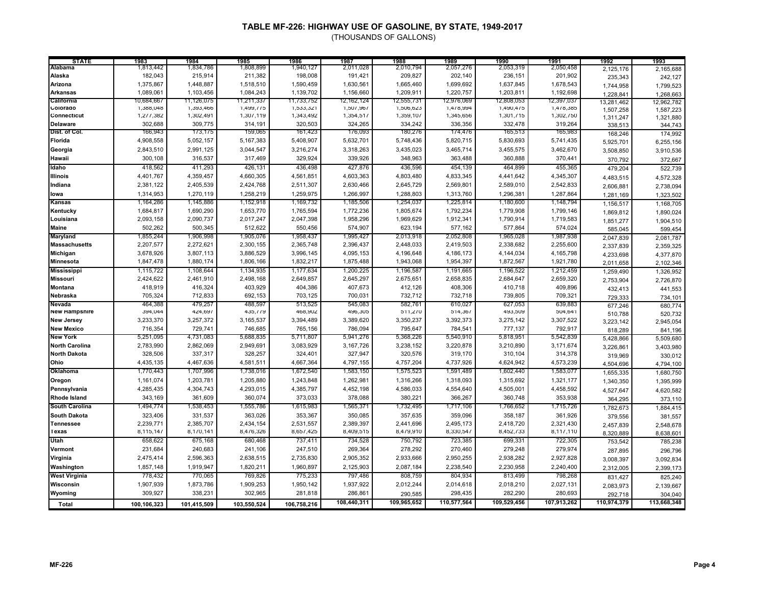| <b>STATE</b>          | 1983        | 1984        | 1985        | 1986        | 1987        | 1988        | 1989        | 1990        | 1991        | 1992        | 1993        |
|-----------------------|-------------|-------------|-------------|-------------|-------------|-------------|-------------|-------------|-------------|-------------|-------------|
| Alabama               | 1,813,442   | 1,834,786   | 1,808,899   | 1,940,127   | 2,011,028   | 2,010,794   | 2,057,276   | 2,053,319   | 2,050,458   | 2,125,176   | 2,165,688   |
| Alaska                | 182,043     | 215,914     | 211,382     | 198,008     | 191,421     | 209,827     | 202,140     | 236,151     | 201,902     | 235,343     | 242,127     |
| Arizona               | 1,375,867   | 1,448,887   | 1,518,510   | 1,590,459   | 1,630,561   | 1,665,460   | 1,699,692   | 1,637,845   | 1,678,543   | 1,744,958   | 1,799,523   |
| <b>Arkansas</b>       | 1,089,061   | 1,103,456   | 1,084,243   | 1,139,702   | 1,156,660   | 1,209,911   | 1,220,757   | 1,203,811   | 1,192,698   | 1,228,841   | 1,268,663   |
| California            | 10,684,66   | 11,126,075  | 11,211,337  | 11,733,752  | 12,162,124  | 12,555,731  | 12,976,069  | 12,808,053  | 12,397,03.  | 13,281,462  | 12,962,782  |
| Colorado              | 1,388,048   | 1,393,466   | 1,499,775   | 1,533,321   | 1,507,967   | 1,506,623   | 1,478,994   | 1,490,475   | 1,478,385   | 1,507,258   | 1,587,223   |
| Connecticut           | 1,277,382   | 1,302,491   | 1,307,119   | 1,343,492   | 1,354,517   | 1,359,107   | 1,345,656   | 1,301,715   | 1,302,750   | 1,311,247   | 1,321,880   |
| <b>Delaware</b>       | 302,688     | 309,775     | 314,191     | 320,503     | 324,265     | 334,242     | 336,356     | 332,478     | 319,264     | 338,513     | 344,743     |
| Dist. of Col.         | 166,943     | 173,175     | 159,065     | 161,423     | 176,093     | 180,276     | 174,476     | 165,513     | 165,983     | 168,246     | 174,992     |
| Florida               | 4,908,558   | 5,052,157   | 5,167,383   | 5,408,907   | 5,632,701   | 5,748,436   | 5,820,715   | 5,830,693   | 5,741,435   | 5,925,701   | 6,255,156   |
| Georgia               | 2,843,510   | 2,991,125   | 3,044,547   | 3,216,274   | 3,318,263   | 3,435,023   | 3,465,714   | 3,455,575   | 3,462,670   | 3,508,850   | 3,910,536   |
| Hawaii                | 300,108     | 316,537     | 317,469     | 329,924     | 339,926     | 348,963     | 363,488     | 360,888     | 370,441     | 370,792     | 372,667     |
| Idaho                 | 418,562     | 411,293     | 426,131     | 436,498     | 427,876     | 436,596     | 454,139     | 464,899     | 455,365     | 479,204     | 522,739     |
| <b>Illinois</b>       | 4,401,767   | 4,359,457   | 4,660,305   | 4,561,851   | 4,603,363   | 4,803,480   | 4,833,345   | 4,441,642   | 4,345,307   | 4,483,515   | 4,572,328   |
| Indiana               | 2,381,122   | 2,405,539   | 2,424,768   | 2,511,307   | 2,630,466   | 2,645,729   | 2,569,801   | 2,589,010   | 2,542,833   |             |             |
|                       | 1,314,953   | 1,270,119   | 1,258,219   | 1,259,975   | 1,266,997   | 1,288,803   | 1,313,760   | 1,296,381   | 1,287,864   | 2,606,881   | 2,738,094   |
| lowa                  |             |             |             |             |             |             |             |             |             | 1,281,169   | 1,323,502   |
| <b>Kansas</b>         | 1,164,286   | 1,145,886   | 1,152,918   | 1,169,732   | 1,185,506   | 1,254,037   | 1,225,814   | 1,180,600   | 1,148,794   | 1,156,517   | 1,168,705   |
| Kentucky              | 1,684,817   | 1,690,290   | 1,653,770   | 1,765,594   | 1,772,236   | 1,805,674   | 1,792,234   | 1,779,908   | 1,799,146   | 1,869,812   | 1,890,024   |
| Louisiana             | 2,093,158   | 2,090,737   | 2,017,247   | 2,047,398   | 1,958,296   | 1,969,629   | 1,912,341   | 1,790,914   | 1,719,583   | 1,851,277   | 1,904,510   |
| <b>Maine</b>          | 502,262     | 500,345     | 512,622     | 550,456     | 574,907     | 623,194     | 577,162     | 577,864     | 574,024     | 585,045     | 599,454     |
| Maryland              | 1,855,244   | 1,906,998   | 1,905,076   | 1,958,437   | 1,995,427   | 2,013,918   | 2,052,808   | 1,965,028   | 1,987,938   | 2,047,839   | 2,081,787   |
| <b>Massachusetts</b>  | 2,207,577   | 2,272,621   | 2,300,155   | 2,365,748   | 2,396,437   | 2,448,033   | 2,419,503   | 2,338,682   | 2,255,600   | 2,337,839   | 2,359,325   |
| Michigan              | 3,678,926   | 3,807,113   | 3,886,529   | 3,996,145   | 4,095,153   | 4,196,648   | 4,186,173   | 4,144,034   | 4,165,798   | 4,233,698   | 4,377,870   |
| Minnesota             | 1,847,478   | 1,880,174   | 1,806,166   | 1,832,217   | 1,875,488   | 1,943,068   | 1,954,397   | 1,872,567   | 1,921,780   | 2,011,658   | 2,102,346   |
| <b>Mississippi</b>    | 1,115,722   | 1,108,644   | 1,134,935   | 1,177,634   | 1,200,225   | 1,196,587   | 1,191,665   | 1,196,522   | 1,212,459   | 1,259,490   | 1,326,952   |
| <b>Missouri</b>       | 2,424,622   | 2,461,910   | 2,498,168   | 2,649,857   | 2,645,297   | 2,675,651   | 2,658,835   | 2,684,647   | 2,659,320   | 2,753,904   | 2,726,870   |
| Montana               | 418,919     | 416,324     | 403,929     | 404,386     | 407,673     | 412,126     | 408,306     | 410,718     | 409,896     | 432,413     | 441,553     |
| Nebraska              | 705,324     | 712,833     | 692,153     | 703,125     | 700,031     | 732,712     | 732,718     | 739,805     | 709,321     | 729,333     | 734,101     |
| Nevada                | 464,388     | 479,257     | 488,597     | 513,525     | 545,083     | 582,761     | 610,027     | 627,053     | 639,883     | 677,246     | 680,774     |
| <b>New Hampshire</b>  | 394,044     | 424,697     | 435,779     | 468,902     | 496,305     | 511,270     | 514,367     | 493,509     | 504,641     | 510,788     | 520,732     |
| <b>New Jersey</b>     | 3,233,370   | 3,257,372   | 3,165,537   | 3,394,489   | 3,389,620   | 3,350,237   | 3,392,373   | 3,275,142   | 3,307,522   | 3,223,142   | 2,945,054   |
| <b>New Mexico</b>     | 716,354     | 729,741     | 746,685     | 765,156     | 786,094     | 795,647     | 784,541     | 777,137     | 792,917     | 818,289     | 841,196     |
| <b>New York</b>       | 5,251,095   | 4,731,083   | 5,688,835   | 5,711,807   | 5,941,276   | 5,368,226   | 5,540,910   | 5,818,951   | 5,542,839   | 5,428,866   | 5,509,680   |
| <b>North Carolina</b> | 2,783,990   | 2,862,069   | 2,949,691   | 3,083,929   | 3,167,726   | 3,238,152   | 3,220,878   | 3,210,890   | 3,171,674   | 3,226,861   | 3,403,980   |
| <b>North Dakota</b>   | 328,506     | 337,317     | 328,257     | 324,401     | 327,947     | 320,576     | 319,170     | 310,104     | 314,378     | 319,969     | 330,012     |
| Ohio                  | 4,435,135   | 4,467,636   | 4,581,511   | 4,667,364   | 4,797,155   | 4,757,204   | 4,737,926   | 4,624,942   | 4,573,239   | 4,504,696   | 4,794,100   |
| Oklahoma              | 1,770,443   | 1,707,996   | 1,738,016   | 1,672,540   | 1,583,150   | 1,575,523   | 1,591,489   | 1,602,440   | 1,583,077   | 1,655,335   | 1,680,750   |
| Oregon                | 1,161,074   | 1,203,781   | 1,205,880   | 1,243,848   | 1,262,981   | 1,316,266   | 1,318,093   | 1,315,692   | 1,321,177   | 1,340,350   | 1,395,999   |
| Pennsylvania          | 4,285,435   | 4,304,743   | 4,293,015   | 4,385,797   | 4,452,198   | 4,586,033   | 4,554,640   | 4,505,001   | 4,458,592   | 4,527,647   | 4,620,582   |
| <b>Rhode Island</b>   | 343,169     | 361,609     | 360,074     | 373,033     | 378,088     | 380,221     | 366,267     | 360,748     | 353,938     | 364,295     | 373,110     |
| <b>South Carolina</b> | 1,494,774   | 1,538,453   | 1,555,786   | 1,615,983   | 1,565,371   | 1,732,495   | 1,717,106   | 1,766,652   | 1,715,726   | 1,782,673   | 1,884,415   |
| <b>South Dakota</b>   | 323,406     | 331,537     | 363,026     | 353,367     | 350,085     | 357,635     | 359,096     | 358,187     | 361,926     | 379,556     | 381,557     |
| <b>Tennessee</b>      | 2,239,771   | 2,385,707   | 2,434,154   | 2,531,557   | 2,389,397   | 2,441,696   | 2,495,173   | 2,418,720   | 2,321,430   | 2,457,839   | 2,548,678   |
| Texas                 | 8,115,147   | 8,170,141   | 8,476,326   | 8,657,425   | 8,409,515   | 8,479,910   | 8,330,547   | 8,452,733   | 8,117,110   | 8,320,889   | 8,638,601   |
| Utah                  | 658,622     | 675,168     | 680,468     | 737,411     | 734,528     | 750,792     | 723,385     | 699,331     | 722,305     | 753,542     | 785,238     |
| Vermont               | 231,684     | 240,683     | 241,106     | 247,510     | 269,364     | 278,292     | 270,460     | 279,248     | 279,974     |             |             |
|                       | 2,475,414   | 2,596,363   | 2,638,515   | 2,735,830   | 2,905,352   | 2,933,666   | 2,950,255   | 2,938,282   | 2,927,828   | 287,895     | 296,796     |
| Virginia              |             |             |             |             |             |             |             |             |             | 3,008,397   | 3,092,834   |
| Washington            | 1,857,148   | 1,919,947   | 1,820,211   | 1,960,897   | 2,125,903   | 2,087,184   | 2,238,540   | 2,230,958   | 2,240,400   | 2,312,005   | 2,399,173   |
| <b>West Virginia</b>  | 778,432     | 770,065     | 769,826     | 775,233     | 797,486     | 808,759     | 804,934     | 813,499     | 798,268     | 831,427     | 825,240     |
| Wisconsin             | 1,907,939   | 1,873,786   | 1,909,253   | 1,950,142   | 1,937,922   | 2,012,244   | 2,014,618   | 2,018,210   | 2,027,131   | 2,083,973   | 2,139,667   |
| Wyoming               | 309,927     | 338,231     | 302,965     | 281,818     | 286,861     | 290,585     | 298,435     | 282,290     | 280,693     | 292,718     | 304,040     |
| Total                 | 100,106,323 | 101,415,509 | 103,550,524 | 106,758,216 | 108,440,311 | 109,965,652 | 110,577,564 | 109,529,456 | 107,913,262 | 110,974,379 | 113,668,348 |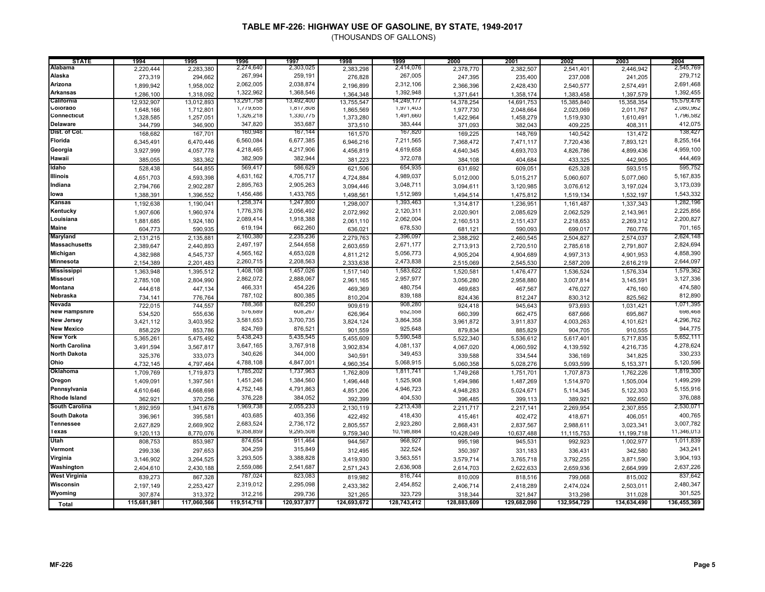| <b>STATE</b>          | 1994        | 1995        | 1996        | 1997        | 1998        | 1999        | 2000        | 2001        | 2002        | 2003        | 2004        |
|-----------------------|-------------|-------------|-------------|-------------|-------------|-------------|-------------|-------------|-------------|-------------|-------------|
| Alabama               | 2,220,444   | 2,283,380   | 2,274,640   | 2,303,025   | 2,383,298   | 2,414,076   | 2,378,770   | 2,382,507   | 2,541,401   | 2.446.942   | 2,545,769   |
| Alaska                | 273.319     | 294.662     | 267,994     | 259,191     | 276.828     | 267,005     | 247,395     | 235.400     | 237,008     | 241.205     | 279,712     |
| Arizona               | 1,899,942   | 1,958,002   | 2,062,005   | 2,038,874   | 2,196,899   | 2,312,106   | 2,366,396   | 2,428,430   | 2,540,577   | 2,574,491   | 2,691,468   |
| Arkansas              | 1,286,100   | 1,318,092   | 1,322,962   | 1,368,546   | 1,364,348   | 1,392,948   | 1,371,641   | 1,358,174   | 1,383,458   | 1,397,579   | 1,392,455   |
| California            | 12,932,907  | 13,012,893  | 13,291,758  | 13,492,400  | 13,755,547  | 14,249,177  | 14,378,254  | 14,691,753  | 15,385,840  | 15,358,354  | 15,579,476  |
| Colorado              | 1,648,166   | 1,712,801   | 1,779,655   | 1,817,808   | 1,865,569   | 1,971,403   | 1,977,730   | 2,048,664   | 2,023,069   | 2,011,767   | 2,080,962   |
| Connecticut           | 1,328,585   | 1,257,051   | 1,326,218   | 1,330,775   | 1,373,280   | 1,491,660   | 1,422,964   | 1,458,279   | 1,519,930   | 1,610,491   | 1,796,582   |
| <b>Delaware</b>       | 344,799     | 346,900     | 347,820     | 353,687     | 373,510     | 383,444     | 371,093     | 382,043     | 409,225     | 408,311     | 412,075     |
| Dist. of Col.         | 168,682     | 167,701     | 160,948     | 167,144     | 161,570     | 167,820     | 169,225     | 148,769     | 140,542     | 131,472     | 138,427     |
| Florida               | 6,345,491   | 6,470,446   | 6,560,084   | 6,677,385   | 6,946,216   | 7,211,565   | 7,368,472   | 7,471,117   | 7,720,436   | 7,893,121   | 8,255,164   |
| Georgia               | 3,927,999   | 4,057,778   | 4,218,465   | 4,217,906   | 4,456,819   | 4,619,658   | 4,640,345   | 4,693,703   | 4,826,786   | 4,899,436   | 4,959,100   |
| Hawaii                | 385,055     | 383,362     | 382,909     | 382,944     | 381,223     | 372,078     | 384,108     | 404,684     | 433,325     | 442,905     | 444,469     |
| Idaho                 | 528,438     | 544,855     | 569,417     | 586,629     | 621,506     | 654,935     | 631,692     | 609,051     | 625,328     | 593,515     | 595,752     |
| <b>Illinois</b>       | 4,651,703   | 4,593,398   | 4,631,162   | 4,705,717   | 4,724,884   | 4,989,037   | 5,012,000   | 5,015,217   | 5,060,607   | 5,077,060   | 5,167,835   |
| Indiana               | 2,794,766   | 2,902,287   | 2,895,763   | 2,905,263   | 3,094,446   | 3,048,711   | 3,094,611   | 3,120,985   | 3,076,612   | 3,197,024   | 3,173,039   |
| lowa                  | 1,388,391   | 1,396,552   | 1,456,486   | 1,433,765   | 1,498,561   | 1,512,989   | 1,494,514   | 1,475,812   | 1,519,134   | 1,532,197   | 1,543,332   |
| Kansas                | 1,192,638   | 1,190,041   | 1,258,374   | 1,247,800   | 1,298,007   | 1,393,463   | 1,314,817   | 1,236,951   | 1,161,487   | 1,337,343   | 1,282,196   |
| Kentucky              | 1,907,606   | 1,960,974   | 1,776,376   | 2,056,492   | 2,072,992   | 2,120,311   | 2,020,901   | 2,085,629   | 2,062,529   | 2,143,961   | 2,225,856   |
| Louisiana             | 1,881,685   | 1,924,180   | 2,089,414   | 1,918,388   | 2,061,110   | 2,062,004   | 2,160,513   | 2,151,437   | 2,218,653   | 2,269,312   | 2,200,827   |
| <b>Maine</b>          | 604,773     | 590,935     | 619,194     | 662,260     | 636,021     | 678,530     | 681,121     | 590,093     | 699,017     | 760,776     | 701,165     |
| Maryland              | 2,131,215   | 2,135,881   | 2,160,380   | 2,235,236   | 2,279,763   | 2,396,097   | 2,388,292   | 2,460,545   | 2,504,827   | 2,574,037   | 2,624,148   |
| <b>Massachusetts</b>  | 2,389,647   | 2,440,893   | 2,497,197   | 2,544,658   | 2,603,659   | 2,671,177   | 2,713,913   | 2,720,510   | 2,785,618   | 2,791,807   | 2,824,694   |
| Michigan              | 4,382,988   | 4,545,737   | 4,565,162   | 4,653,028   | 4,811,212   | 5,056,773   | 4,905,204   | 4,904,689   | 4,997,313   | 4,901,953   | 4,858,390   |
| Minnesota             | 2,154,389   | 2,201,483   | 2,260,715   | 2,208,563   | 2,333,638   | 2,473,838   | 2,515,069   | 2,545,530   | 2,587,209   | 2,616,219   | 2,644,097   |
| <b>Mississippi</b>    | 1,363,948   | 1,395,512   | 1,408,108   | 1,457,026   | 1,517,140   | 1,583,622   | 1,520,581   | 1,476,477   | 1,536,524   | 1,576,334   | 1,579,362   |
| <b>Missouri</b>       | 2,785,108   | 2,804,990   | 2,862,072   | 2,888,067   | 2,961,165   | 2,957,977   | 3,056,280   | 2,958,880   | 3,007,814   | 3,145,591   | 3,127,336   |
| <b>Montana</b>        | 444,618     | 447,134     | 466,331     | 454,226     | 469,369     | 480,754     | 469,683     | 467,567     | 476,027     | 476,160     | 474,580     |
| Nebraska              | 734,141     | 776,764     | 787,102     | 800,385     | 810,204     | 839,188     | 824,436     | 812,247     | 830,312     | 825,562     | 812,890     |
| Nevada                | 722,015     | 744,557     | 788,368     | 826,250     | 909,619     | 908,280     | 924,418     | 945,643     | 973,693     | 1,031,421   | 1,071,395   |
| <b>New Hampshire</b>  | 534,520     | 555,636     | 576,689     | 608,267     | 626,964     | 652,558     | 660,399     | 662,475     | 687,666     | 695,867     | 698,468     |
| <b>New Jersey</b>     | 3,421,112   | 3,403,952   | 3,581,653   | 3,700,735   | 3,824,124   | 3,864,358   | 3,961,872   | 3,911,837   | 4,003,263   | 4,101,621   | 4,296,762   |
| <b>New Mexico</b>     | 858,229     | 853,786     | 824,769     | 876,521     | 901,559     | 925,648     | 879,834     | 885,829     | 904,705     | 910,555     | 944,775     |
| <b>New York</b>       | 5,365,261   | 5,475,492   | 5,438,243   | 5,435,545   | 5,455,609   | 5,590,548   | 5,522,340   | 5,536,612   | 5,617,401   | 5,717,835   | 5,652,111   |
| <b>North Carolina</b> | 3,491,594   | 3,567,817   | 3,647,165   | 3,767,918   | 3,902,834   | 4,081,137   | 4,067,020   | 4,060,592   | 4,139,592   | 4,216,735   | 4,278,624   |
| <b>North Dakota</b>   | 325,376     | 333,073     | 340,626     | 344,000     | 340,591     | 349,453     | 339,588     | 334,544     | 336,169     | 341,825     | 330,233     |
| Ohio                  | 4,732,145   | 4,797,464   | 4,788,108   | 4,847,001   | 4,960,354   | 5,068,915   | 5,060,358   | 5,028,276   | 5,093,599   | 5,153,371   | 5,120,596   |
| Oklahoma              | 1,709,769   | 1,719,873   | 1,785,202   | 1,737,963   | 1,762,809   | 1,811,741   | 1,749,268   | 1,751,701   | 1,707,873   | 1,762,226   | 1,819,300   |
| Oregon                | 1,409,091   | 1,397,561   | 1,451,246   | 1,384,560   | 1,496,448   | 1,525,908   | 1,494,986   | 1,487,269   | 1,514,970   | 1,505,004   | 1,499,299   |
| Pennsylvania          | 4,610,646   | 4,668,698   | 4,752,148   | 4,791,863   | 4,851,206   | 4,946,723   | 4,948,283   | 5,024,671   | 5,114,345   | 5,122,303   | 5,155,916   |
| <b>Rhode Island</b>   | 362,921     | 370,256     | 376,228     | 384,052     | 392,399     | 404,530     | 396,485     | 399,113     | 389,921     | 392,650     | 376,088     |
| <b>South Carolina</b> | 1,892,959   | 1,941,678   | 1,969,738   | 2,055,233   | 2,130,119   | 2,213,438   | 2,211,717   | 2,217,141   | 2,269,954   | 2,307,855   | 2,530,071   |
| <b>South Dakota</b>   | 396,961     | 395,581     | 403,685     | 403,356     | 422,492     | 418,430     | 415,461     | 402,472     | 418,671     | 406,051     | 400,765     |
| <b>Tennessee</b>      | 2,627,829   | 2,669,902   | 2,683,524   | 2,736,172   | 2,805,557   | 2,923,280   | 2,868,431   | 2,837,567   | 2,988,611   | 3,023,341   | 3,007,782   |
| <b>Texas</b><br>Utah  | 9,120,113   | 8,770,076   | 9,358,859   | 9,295,508   | 9,759,340   | 10,198,884  | 10,428,049  | 10,637,488  | 11,115,753  | 11,199,718  | 11,346,013  |
|                       | 808,753     | 853,987     | 874,654     | 911,464     | 944,567     | 968,927     | 995,198     | 945,531     | 992,923     | 1,002,977   | 1,011,839   |
| Vermont               | 299,336     | 297,653     | 304,259     | 315,849     | 312,495     | 322,524     | 350,397     | 331,183     | 336,431     | 342,580     | 343,241     |
| Virginia              | 3,146,902   | 3,264,525   | 3,293,505   | 3,388,828   | 3,419,930   | 3,563,551   | 3,579,714   | 3,765,718   | 3,792,255   | 3,871,590   | 3,904,193   |
| Washington            | 2,404,610   | 2,430,188   | 2,559,086   | 2,541,687   | 2,571,243   | 2,636,908   | 2,614,703   | 2,622,633   | 2,659,936   | 2,664,999   | 2,637,226   |
| <b>West Virginia</b>  | 839,273     | 867,328     | 787,024     | 823,083     | 819,982     | 816,744     | 810,009     | 818,516     | 799,068     | 815,002     | 837,642     |
| Wisconsin             | 2,197,149   | 2,253,427   | 2,319,012   | 2,295,098   | 2,433,382   | 2,454,852   | 2,406,714   | 2,418,289   | 2,474,024   | 2,503,011   | 2,480,347   |
| Wyoming               | 307,874     | 313,372     | 312,216     | 299,736     | 321,265     | 323,729     | 318,344     | 321,847     | 313,298     | 311,028     | 301,525     |
| Total                 | 115,681,981 | 117,060,566 | 119,514,718 | 120,937,877 | 124,693,672 | 128,743,412 | 128,883,609 | 129,682,090 | 132,954,729 | 134,634,490 | 136,455,369 |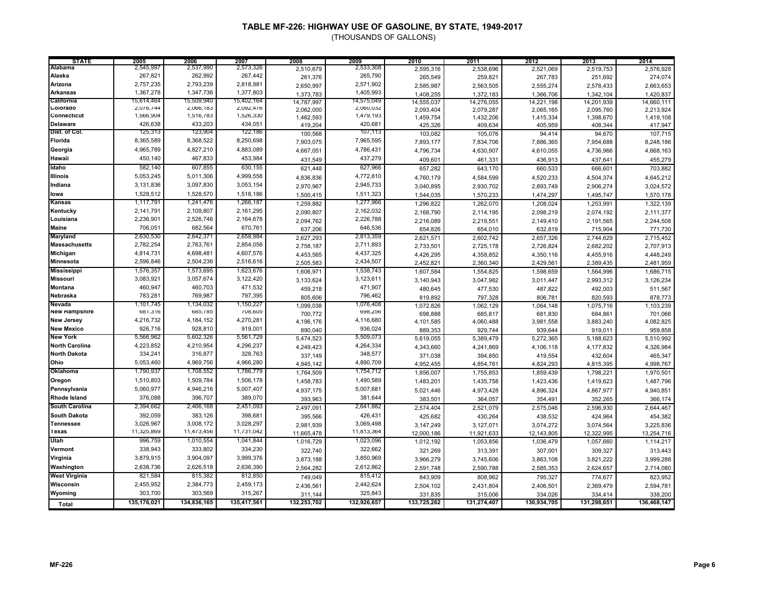| <b>STATE</b>                            | 2005                   | 2006                   | 2007                   | 2008                   | 2009                   | 2010                 | 2011                 | 2012                 | 2013                 | 2014                 |
|-----------------------------------------|------------------------|------------------------|------------------------|------------------------|------------------------|----------------------|----------------------|----------------------|----------------------|----------------------|
| Alabama                                 | 2,545,997              | 2,537,990              | 2,573,326              | 2,510,679              | 2,533,308              | 2,595,316            | 2,538,696            | 2,521,069            | 2,519,753            | 2,576,928            |
| Alaska                                  | 267,821                | 262,992                | 267,442                | 261,376                | 265,790                | 265,549              | 259,821              | 267,783              | 251,692              | 274,074              |
| Arizona                                 | 2,757,235              | 2,793,239              | 2,818,981              | 2,650,997              | 2,571,902              | 2,585,987            | 2,563,505            | 2,555,274            | 2,578,433            | 2,663,653            |
| <b>Arkansas</b>                         | 1,367,278              | 1,347,736              | 1,377,803              | 1,373,783              | 1,405,993              | 1,408,255            | 1,372,183            | 1,366,706            | 1,342,104            | 1,420,837            |
| California                              | 15,614,464             | 15,509,940             | 15,402,164             | 14,787,997             | 14,575,049             | 14,555,037           | 14,276,055           | 14,221,198           | 14,201,939           | 14,660,111           |
| Colorado                                | 2,076,744              | 2,066,183              | 2,092,476              | 2,062,000              | 2,060,032              | 2,093,404            | 2,079,287            | 2,065,165            | 2,095,760            | 2,213,924            |
| Connecticut                             | 1,566,904              | 1,516,783              | 1,526,330              | 1,462,593              | 1,4/9,193<br>420,681   | 1,459,754            | 1,432,206            | 1,415,334            | 1,398,670            | 1,419,108            |
| <b>Delaware</b><br><b>Dist. of Col.</b> | 426,638<br>125,313     | 433,203<br>123,904     | 434,051<br>122,186     | 419,204                | 107,113                | 425,326              | 409,634              | 405,959              | 408,344              | 417,947              |
| Florida                                 | 8,365,589              | 8,368,522              | 8,250,698              | 100,568                | 7,965,595              | 103,082              | 105,076              | 94,414               | 94,670               | 107,715              |
| Georgia                                 | 4,965,789              | 4,827,210              | 4,883,089              | 7,903,075              | 4,786,431              | 7,893,177            | 7,834,706            | 7,886,365            | 7,954,688            | 8,248,186            |
|                                         | 450,140                | 467,833                | 453,984                | 4,667,051              | 437,279                | 4,796,734            | 4,630,907            | 4,610,055            | 4,736,966            | 4,668,163            |
| Hawaii                                  |                        |                        |                        | 431,549                |                        | 409,601              | 461,331              | 436,913              | 437,641              | 455,279              |
| Idaho                                   | 582,140                | 607,855                | 630,155                | 621,448                | 627,966                | 657,282              | 643,170              | 660,533              | 666,601              | 703,882              |
| <b>Illinois</b>                         | 5,053,245              | 5,011,306              | 4,999,558              | 4,836,836              | 4,772,810              | 4,760,179            | 4,584,599            | 4,520,233            | 4,504,374            | 4,645,212            |
| Indiana                                 | 3,131,836              | 3,097,830              | 3,053,154              | 2,970,967              | 2,945,733              | 3,040,895            | 2,930,702            | 2,893,749            | 2,906,274            | 3,024,572            |
| lowa                                    | 1,528,512              | 1,528,570              | 1,518,186              | 1,500,415              | 1,511,323              | 1,544,035            | 1,570,233            | 1,474,297            | 1,495,747            | 1,570,178            |
| Kansas                                  | 1,117,791              | 1,241,476              | 1,266,187              | 1,259,882              | 1,277,966              | 1,296,822            | 1,262,070            | 1,208,024            | 1,253,991            | 1,322,139            |
| Kentucky                                | 2,141,791              | 2,109,807              | 2,161,295              | 2,090,807              | 2,162,032              | 2,168,790            | 2,114,195            | 2,098,219            | 2,074,192            | 2,111,377            |
| Louisiana                               | 2,236,901              | 2,526,746              | 2,164,678              | 2,094,762              | 2,226,788              | 2,216,089            | 2,219,551            | 2,149,410            | 2,191,565            | 2,244,508            |
| Maine                                   | 706,051                | 682,564                | 670,761                | 637,206                | 646,536                | 654,826              | 654,010              | 632.819              | 715,904              | 771,730              |
| Maryland                                | 2,630,530              | 2,642,371              | 2,658,984              | 2,627,293              | 2,813,359              | 2,621,571            | 2,602,742            | 2,657,326            | 2,744,629            | 2,715,452            |
| <b>Massachusetts</b><br>Michigan        | 2,782,254<br>4,814,731 | 2,763,761<br>4,698,481 | 2,854,058<br>4,607,576 | 2,758,187              | 2,711,893<br>4,437,325 | 2,733,501            | 2,725,178            | 2,726,824            | 2,682,202            | 2,707,913            |
|                                         |                        |                        |                        | 4,453,565              |                        | 4,426,295            | 4,358,852            | 4,350,116            | 4,455,916            | 4,448,249            |
| Minnesota                               | 2,596,846              | 2,504,236              | 2,516,616              | 2,505,583              | 2,434,507              | 2,452,821            | 2,360,340            | 2,429,561            | 2,389,435            | 2,481,959            |
| <b>Mississippi</b><br><b>Missouri</b>   | 1,576,357<br>3,083,921 | 1,573,695<br>3,057,674 | 1,623,676              | 1,606,971              | 1,538,743<br>3,123,611 | 1,607,584            | 1,554,825            | 1,598,659            | 1,564,996            | 1,686,715            |
|                                         |                        |                        | 3,122,420              | 3,133,624              |                        | 3,140,943            | 3,047,982            | 3,011,447            | 2,993,312            | 3,126,234            |
| <b>Montana</b>                          | 460,947<br>783,281     | 460,703<br>769,987     | 471,532                | 459,218                | 471,907<br>796,462     | 480,645              | 477,530              | 487,822              | 492,003              | 511,567              |
| Nebraska<br>Nevada                      | 1,101,745              | 1,134,032              | 797,395<br>1,150,227   | 805,606                | 1,076,408              | 819,892              | 797,328              | 806,781              | 820,593              | 878,773              |
| <b>New Hampshire</b>                    | 681,316                | 685,785                | 708,605                | 1,099,038              | 698,256                | 1,072,826            | 1,062,129            | 1,064,148            | 1,075,716            | 1,103,239            |
| <b>New Jersey</b>                       | 4,216,732              | 4,184,152              | 4,270,281              | 700,772                | 4,116,680              | 698,888              | 685,817              | 681,830              | 684,861              | 701,066<br>4,082,825 |
| <b>New Mexico</b>                       | 926,716                | 928,810                | 919,001                | 4,196,176<br>890,040   | 936,024                | 4,101,585<br>889,353 | 4,060,488<br>929,744 | 3,981,558<br>939,644 | 3,883,240<br>919,011 | 959,858              |
| <b>New York</b>                         | 5,566,962              | 5,602,326              | 5,561,729              | 5,474,523              | 5,509,073              | 5,619,055            | 5,389,479            | 5,272,365            | 5,188,623            | 5,510,992            |
| <b>North Carolina</b>                   | 4,223,852              | 4,210,954              | 4,296,237              | 4,249,423              | 4,264,334              | 4,343,660            | 4,241,869            | 4,106,118            | 4,177,832            | 4,326,984            |
| <b>North Dakota</b>                     | 334,241                | 316,877                | 328,763                | 337,149                | 348,577                | 371,038              | 394,850              | 419,554              | 432,604              | 465,347              |
| Ohio                                    | 5,053,460              | 4,969,756              | 4,966,280              | 4,945,142              | 4,890,709              | 4,952,455            | 4,854,761            | 4,824,293            | 4,815,395            | 4,998,767            |
| Oklahoma                                | 1,790,937              | 1,708,552              | 1,786,779              | 1,764,509              | 1,754,712              | 1,856,007            | 1,755,853            | 1,859,439            | 1,798,221            | 1,970,501            |
| Oregon                                  | 1,510,803              | 1,509,784              | 1,506,178              | 1,458,783              | 1,490,589              | 1,483,201            | 1,435,758            | 1,423,436            | 1,419,623            | 1,487,796            |
| Pennsylvania                            | 5,060,977              | 4,946,216              | 5,007,407              | 4,937,175              | 5,007,681              | 5,021,446            | 4,973,428            | 4,896,324            | 4,867,977            | 4,940,851            |
| <b>Rhode Island</b>                     | 376,088                | 396,707                | 389,070                | 393,963                | 381,644                | 383,501              | 364,057              | 354,491              | 352,265              | 366,174              |
| <b>South Carolina</b>                   | 2,394,662              | 2,466,168              | 2,451,093              | 2,497,091              | 2,641,882              | 2,574,404            | 2,521,079            | 2,575,046            | 2,596,930            | 2,644,467            |
| <b>South Dakota</b>                     | 392,059                | 383,126                | 398,681                | 395,566                | 426,431                | 425,682              | 430,264              | 438,532              | 424,964              | 454,382              |
| <b>Tennessee</b>                        | 3,026,967              | 3,008,172              | 3,028,297              | 2,981,939              | 3,069,498              | 3,147,249            | 3,127,071            | 3,074,272            | 3,074,564            | 3,225,836            |
| Texas                                   | 11,325,869             | 11,473,456             | 11,731,042             | 11,665,478             | 11,813,364             | 12,000,186           | 11,921,633           | 12,143,805           | 12,322,995           | 13,254,716           |
| Utah                                    | 996,759                | 1,010,554              | 1,041,844              | 1,016,729              | 1,023,096              | 1,012,192            | 1,053,856            | 1,036,479            | 1,057,660            | 1,114,217            |
| Vermont                                 | 338,943                | 333,802                | 334,230                | 322,740                | 322,662                | 321,269              | 313,391              | 307,001              | 309,327              | 313,443              |
| Virginia                                | 3,879,915              | 3,904,097              | 3,999,376              | 3,873,188              | 3,850,969              | 3,966,279            | 3,745,606            | 3,863,108            | 3,821,222            | 3,999,288            |
| Washington                              | 2,638,736              | 2,626,518              | 2,636,390              | 2,564,282              | 2,612,862              | 2,591,748            | 2,590,788            | 2,585,353            | 2,624,657            | 2,714,080            |
| <b>West Virginia</b>                    | 821,584                | 815,382                | 812,850                | 749,049                | 815,412                | 843,909              | 808,962              | 795,327              | 774,677              | 823,952              |
| Wisconsin                               | 2,455,952              | 2,384,773              | 2,459,173              | 2,436,561              | 2,442,624              | 2,504,102            | 2,431,804            | 2,406,501            | 2,369,479            | 2,594,781            |
| Wyoming                                 | 303,700                | 303,569                | 315,267                |                        | 325,843                | 331,835              | 315,006              | 334,026              | 334,414              | 338,200              |
|                                         | 135,176,021            | 134,836,165            | 135,417,561            | 311,144<br>132,253,702 | 132,926,657            | 133,725,262          | 131,274,407          | 130,934,705          | 131,298,651          | 136,468,147          |
| Total                                   |                        |                        |                        |                        |                        |                      |                      |                      |                      |                      |